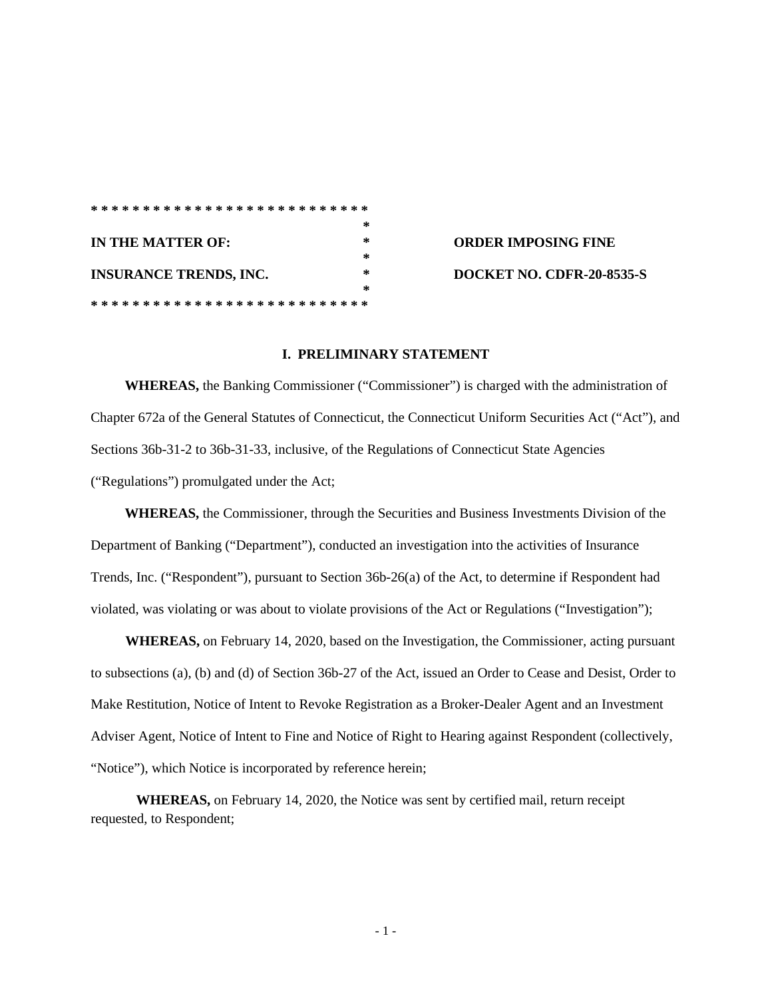|                               |                   | *************************** |  |  |  |  |  |  |  |  |  |  |  |  |  |        |  |  |  |  |  |   |
|-------------------------------|-------------------|-----------------------------|--|--|--|--|--|--|--|--|--|--|--|--|--|--------|--|--|--|--|--|---|
|                               |                   |                             |  |  |  |  |  |  |  |  |  |  |  |  |  |        |  |  |  |  |  | 宋 |
|                               | IN THE MATTER OF: |                             |  |  |  |  |  |  |  |  |  |  |  |  |  | ∗      |  |  |  |  |  |   |
|                               |                   |                             |  |  |  |  |  |  |  |  |  |  |  |  |  |        |  |  |  |  |  | 宋 |
| <b>INSURANCE TRENDS, INC.</b> |                   |                             |  |  |  |  |  |  |  |  |  |  |  |  |  | $\ast$ |  |  |  |  |  |   |
|                               |                   |                             |  |  |  |  |  |  |  |  |  |  |  |  |  |        |  |  |  |  |  | 杂 |
|                               |                   | **************************  |  |  |  |  |  |  |  |  |  |  |  |  |  |        |  |  |  |  |  |   |

**IN THE MATTER OF: \* ORDER IMPOSING FINE INSURANCE TRENDS, INC. \* DOCKET NO. CDFR-20-8535-S**

## **I. PRELIMINARY STATEMENT**

**WHEREAS,** the Banking Commissioner ("Commissioner") is charged with the administration of Chapter 672a of the General Statutes of Connecticut, the Connecticut Uniform Securities Act ("Act"), and Sections 36b-31-2 to 36b-31-33, inclusive, of the Regulations of Connecticut State Agencies ("Regulations") promulgated under the Act;

**WHEREAS,** the Commissioner, through the Securities and Business Investments Division of the Department of Banking ("Department"), conducted an investigation into the activities of Insurance Trends, Inc. ("Respondent"), pursuant to Section 36b-26(a) of the Act, to determine if Respondent had violated, was violating or was about to violate provisions of the Act or Regulations ("Investigation");

**WHEREAS,** on February 14, 2020, based on the Investigation, the Commissioner*,* acting pursuant to subsections (a), (b) and (d) of Section 36b-27 of the Act, issued an Order to Cease and Desist, Order to Make Restitution, Notice of Intent to Revoke Registration as a Broker-Dealer Agent and an Investment Adviser Agent, Notice of Intent to Fine and Notice of Right to Hearing against Respondent (collectively, "Notice"), which Notice is incorporated by reference herein;

**WHEREAS,** on February 14, 2020, the Notice was sent by certified mail, return receipt requested, to Respondent;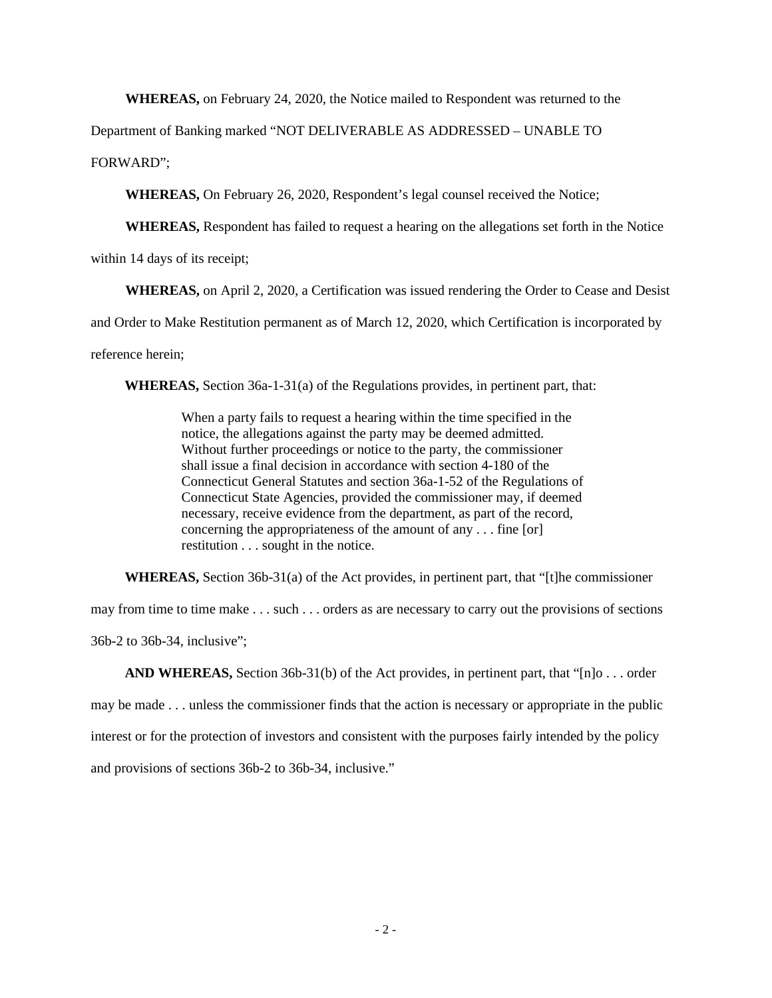**WHEREAS,** on February 24, 2020, the Notice mailed to Respondent was returned to the

Department of Banking marked "NOT DELIVERABLE AS ADDRESSED – UNABLE TO FORWARD";

**WHEREAS,** On February 26, 2020, Respondent's legal counsel received the Notice;

**WHEREAS,** Respondent has failed to request a hearing on the allegations set forth in the Notice

within 14 days of its receipt;

**WHEREAS,** on April 2, 2020, a Certification was issued rendering the Order to Cease and Desist

and Order to Make Restitution permanent as of March 12, 2020, which Certification is incorporated by

reference herein;

**WHEREAS,** Section 36a-1-31(a) of the Regulations provides, in pertinent part, that:

When a party fails to request a hearing within the time specified in the notice, the allegations against the party may be deemed admitted. Without further proceedings or notice to the party, the commissioner shall issue a final decision in accordance with section 4-180 of the Connecticut General Statutes and section 36a-1-52 of the Regulations of Connecticut State Agencies, provided the commissioner may, if deemed necessary, receive evidence from the department, as part of the record, concerning the appropriateness of the amount of any . . . fine [or] restitution . . . sought in the notice.

**WHEREAS,** Section 36b-31(a) of the Act provides, in pertinent part, that "[t]he commissioner

may from time to time make . . . such . . . orders as are necessary to carry out the provisions of sections

36b-2 to 36b-34, inclusive";

**AND WHEREAS,** Section 36b-31(b) of the Act provides, in pertinent part, that "[n]o . . . order may be made . . . unless the commissioner finds that the action is necessary or appropriate in the public interest or for the protection of investors and consistent with the purposes fairly intended by the policy and provisions of sections 36b-2 to 36b-34, inclusive."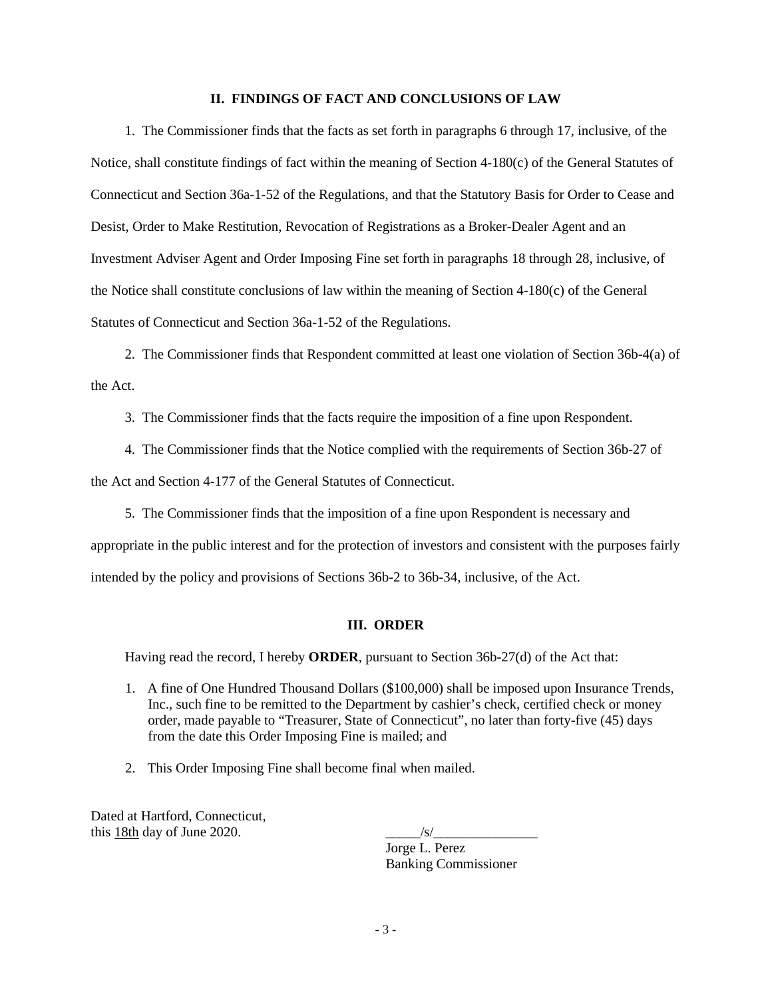## **II. FINDINGS OF FACT AND CONCLUSIONS OF LAW**

1. The Commissioner finds that the facts as set forth in paragraphs 6 through 17, inclusive, of the Notice, shall constitute findings of fact within the meaning of Section 4-180(c) of the General Statutes of Connecticut and Section 36a-1-52 of the Regulations, and that the Statutory Basis for Order to Cease and Desist, Order to Make Restitution, Revocation of Registrations as a Broker-Dealer Agent and an Investment Adviser Agent and Order Imposing Fine set forth in paragraphs 18 through 28, inclusive, of the Notice shall constitute conclusions of law within the meaning of Section 4-180(c) of the General Statutes of Connecticut and Section 36a-1-52 of the Regulations.

2. The Commissioner finds that Respondent committed at least one violation of Section 36b-4(a) of the Act.

- 3. The Commissioner finds that the facts require the imposition of a fine upon Respondent.
- 4. The Commissioner finds that the Notice complied with the requirements of Section 36b-27 of

the Act and Section 4-177 of the General Statutes of Connecticut.

5. The Commissioner finds that the imposition of a fine upon Respondent is necessary and

appropriate in the public interest and for the protection of investors and consistent with the purposes fairly intended by the policy and provisions of Sections 36b-2 to 36b-34, inclusive, of the Act.

## **III. ORDER**

Having read the record, I hereby **ORDER**, pursuant to Section 36b-27(d) of the Act that:

- 1. A fine of One Hundred Thousand Dollars (\$100,000) shall be imposed upon Insurance Trends, Inc., such fine to be remitted to the Department by cashier's check, certified check or money order, made payable to "Treasurer, State of Connecticut", no later than forty-five (45) days from the date this Order Imposing Fine is mailed; and
- 2. This Order Imposing Fine shall become final when mailed.

Dated at Hartford, Connecticut, this 18th day of June 2020.  $\sqrt{s/2}$ 

Jorge L. Perez Banking Commissioner